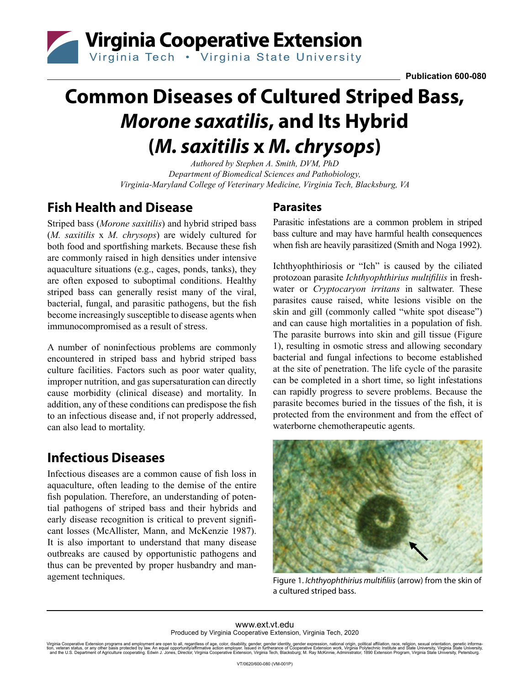

# **Common Diseases of Cultured Striped Bass,**  *Morone saxatilis***, and Its Hybrid (***M. saxitilis* **x** *M. chrysops***)**

*Authored by Stephen A. Smith, DVM, PhD Department of Biomedical Sciences and Pathobiology, Virginia-Maryland College of Veterinary Medicine, Virginia Tech, Blacksburg, VA*

# **Fish Health and Disease**

Striped bass (*Morone saxitilis*) and hybrid striped bass (*M. saxitilis* x *M. chrysops*) are widely cultured for both food and sportfishing markets. Because these fish are commonly raised in high densities under intensive aquaculture situations (e.g., cages, ponds, tanks), they are often exposed to suboptimal conditions. Healthy striped bass can generally resist many of the viral, bacterial, fungal, and parasitic pathogens, but the fish become increasingly susceptible to disease agents when immunocompromised as a result of stress.

A number of noninfectious problems are commonly encountered in striped bass and hybrid striped bass culture facilities. Factors such as poor water quality, improper nutrition, and gas supersaturation can directly cause morbidity (clinical disease) and mortality. In addition, any of these conditions can predispose the fish to an infectious disease and, if not properly addressed, can also lead to mortality.

# **Infectious Diseases**

Infectious diseases are a common cause of fish loss in aquaculture, often leading to the demise of the entire fish population. Therefore, an understanding of potential pathogens of striped bass and their hybrids and early disease recognition is critical to prevent significant losses (McAllister, Mann, and McKenzie 1987). It is also important to understand that many disease outbreaks are caused by opportunistic pathogens and thus can be prevented by proper husbandry and management techniques.

#### **Parasites**

Parasitic infestations are a common problem in striped bass culture and may have harmful health consequences when fish are heavily parasitized (Smith and Noga 1992).

Ichthyophthiriosis or "Ich" is caused by the ciliated protozoan parasite *Ichthyophthirius multifiliis* in freshwater or *Cryptocaryon irritans* in saltwater. These parasites cause raised, white lesions visible on the skin and gill (commonly called "white spot disease") and can cause high mortalities in a population of fish. The parasite burrows into skin and gill tissue (Figure 1), resulting in osmotic stress and allowing secondary bacterial and fungal infections to become established at the site of penetration. The life cycle of the parasite can be completed in a short time, so light infestations can rapidly progress to severe problems. Because the parasite becomes buried in the tissues of the fish, it is protected from the environment and from the effect of waterborne chemotherapeutic agents.



Figure 1. *Ichthyophthirius multifiliis* (arrow) from the skin of a cultured striped bass.

www.ext.vt.edu Produced by Virginia Cooperative Extension, Virginia Tech, 2020

Virginia Cooperative Extension programs and employment are open to all, regardless of age, color, disability, gender, gender identity, gender expression, national origin, political affiliation, race, religion, sexual orien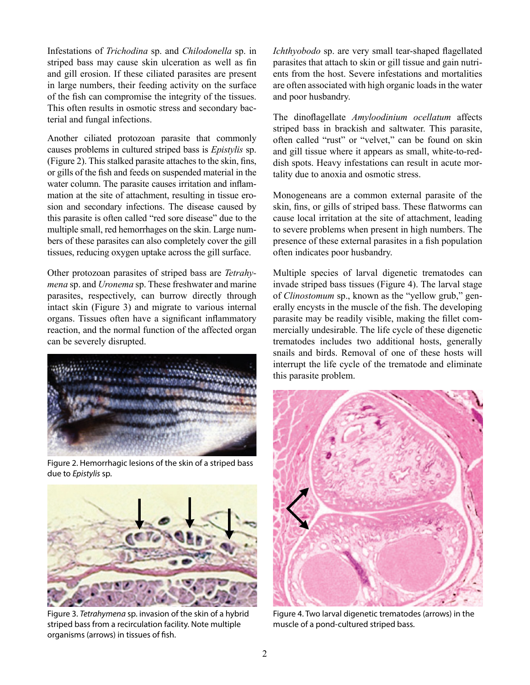Infestations of *Trichodina* sp. and *Chilodonella* sp. in striped bass may cause skin ulceration as well as fin and gill erosion. If these ciliated parasites are present in large numbers, their feeding activity on the surface of the fish can compromise the integrity of the tissues. This often results in osmotic stress and secondary bacterial and fungal infections.

Another ciliated protozoan parasite that commonly causes problems in cultured striped bass is *Epistylis* sp. (Figure 2). This stalked parasite attaches to the skin, fins, or gills of the fish and feeds on suspended material in the water column. The parasite causes irritation and inflammation at the site of attachment, resulting in tissue erosion and secondary infections. The disease caused by this parasite is often called "red sore disease" due to the multiple small, red hemorrhages on the skin. Large numbers of these parasites can also completely cover the gill tissues, reducing oxygen uptake across the gill surface.

Other protozoan parasites of striped bass are *Tetrahymena* sp. and *Uronema* sp. These freshwater and marine parasites, respectively, can burrow directly through intact skin (Figure 3) and migrate to various internal organs. Tissues often have a significant inflammatory reaction, and the normal function of the affected organ can be severely disrupted.



Figure 2. Hemorrhagic lesions of the skin of a striped bass due to *Epistylis* sp.



Figure 3. *Tetrahymena* sp. invasion of the skin of a hybrid striped bass from a recirculation facility. Note multiple organisms (arrows) in tissues of fish.

*Ichthyobodo* sp. are very small tear-shaped flagellated parasites that attach to skin or gill tissue and gain nutrients from the host. Severe infestations and mortalities are often associated with high organic loads in the water and poor husbandry.

The dinoflagellate *Amyloodinium ocellatum* affects striped bass in brackish and saltwater. This parasite, often called "rust" or "velvet," can be found on skin and gill tissue where it appears as small, white-to-reddish spots. Heavy infestations can result in acute mortality due to anoxia and osmotic stress.

Monogeneans are a common external parasite of the skin, fins, or gills of striped bass. These flatworms can cause local irritation at the site of attachment, leading to severe problems when present in high numbers. The presence of these external parasites in a fish population often indicates poor husbandry.

Multiple species of larval digenetic trematodes can invade striped bass tissues (Figure 4). The larval stage of *Clinostomum* sp., known as the "yellow grub," generally encysts in the muscle of the fish. The developing parasite may be readily visible, making the fillet commercially undesirable. The life cycle of these digenetic trematodes includes two additional hosts, generally snails and birds. Removal of one of these hosts will interrupt the life cycle of the trematode and eliminate this parasite problem.



Figure 4. Two larval digenetic trematodes (arrows) in the muscle of a pond-cultured striped bass.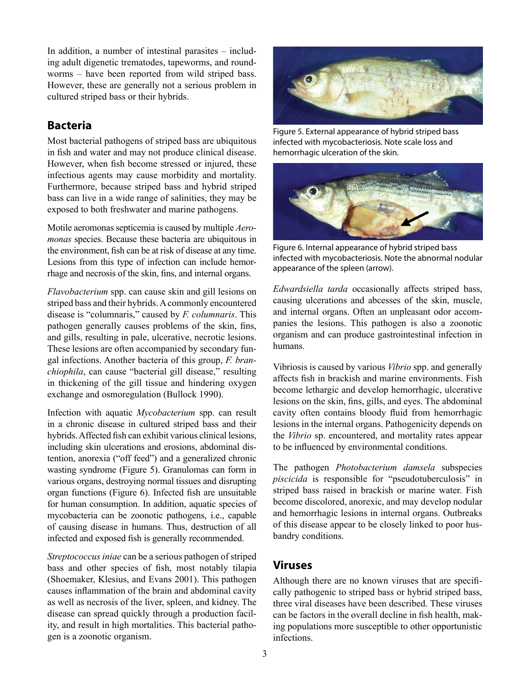In addition, a number of intestinal parasites – including adult digenetic trematodes, tapeworms, and roundworms – have been reported from wild striped bass. However, these are generally not a serious problem in cultured striped bass or their hybrids.

#### **Bacteria**

Most bacterial pathogens of striped bass are ubiquitous in fish and water and may not produce clinical disease. However, when fish become stressed or injured, these infectious agents may cause morbidity and mortality. Furthermore, because striped bass and hybrid striped bass can live in a wide range of salinities, they may be exposed to both freshwater and marine pathogens.

Motile aeromonas septicemia is caused by multiple *Aeromonas* species. Because these bacteria are ubiquitous in the environment, fish can be at risk of disease at any time. Lesions from this type of infection can include hemorrhage and necrosis of the skin, fins, and internal organs.

*Flavobacterium* spp. can cause skin and gill lesions on striped bass and their hybrids. A commonly encountered disease is "columnaris," caused by *F. columnaris*. This pathogen generally causes problems of the skin, fins, and gills, resulting in pale, ulcerative, necrotic lesions. These lesions are often accompanied by secondary fungal infections. Another bacteria of this group, *F. branchiophila*, can cause "bacterial gill disease," resulting in thickening of the gill tissue and hindering oxygen exchange and osmoregulation (Bullock 1990).

Infection with aquatic *Mycobacterium* spp. can result in a chronic disease in cultured striped bass and their hybrids. Affected fish can exhibit various clinical lesions, including skin ulcerations and erosions, abdominal distention, anorexia ("off feed") and a generalized chronic wasting syndrome (Figure 5). Granulomas can form in various organs, destroying normal tissues and disrupting organ functions (Figure 6). Infected fish are unsuitable for human consumption. In addition, aquatic species of mycobacteria can be zoonotic pathogens, i.e., capable of causing disease in humans. Thus, destruction of all infected and exposed fish is generally recommended.

*Streptococcus iniae* can be a serious pathogen of striped bass and other species of fish, most notably tilapia (Shoemaker, Klesius, and Evans 2001). This pathogen causes inflammation of the brain and abdominal cavity as well as necrosis of the liver, spleen, and kidney. The disease can spread quickly through a production facility, and result in high mortalities. This bacterial pathogen is a zoonotic organism.



Figure 5. External appearance of hybrid striped bass infected with mycobacteriosis. Note scale loss and hemorrhagic ulceration of the skin.



Figure 6. Internal appearance of hybrid striped bass infected with mycobacteriosis. Note the abnormal nodular appearance of the spleen (arrow).

*Edwardsiella tarda* occasionally affects striped bass, causing ulcerations and abcesses of the skin, muscle, and internal organs. Often an unpleasant odor accompanies the lesions. This pathogen is also a zoonotic organism and can produce gastrointestinal infection in humans.

Vibriosis is caused by various *Vibrio* spp. and generally affects fish in brackish and marine environments. Fish become lethargic and develop hemorrhagic, ulcerative lesions on the skin, fins, gills, and eyes. The abdominal cavity often contains bloody fluid from hemorrhagic lesions in the internal organs. Pathogenicity depends on the *Vibrio* sp. encountered, and mortality rates appear to be influenced by environmental conditions.

The pathogen *Photobacterium damsela* subspecies *piscicida* is responsible for "pseudotuberculosis" in striped bass raised in brackish or marine water. Fish become discolored, anorexic, and may develop nodular and hemorrhagic lesions in internal organs. Outbreaks of this disease appear to be closely linked to poor husbandry conditions.

#### **Viruses**

Although there are no known viruses that are specifically pathogenic to striped bass or hybrid striped bass, three viral diseases have been described. These viruses can be factors in the overall decline in fish health, making populations more susceptible to other opportunistic infections.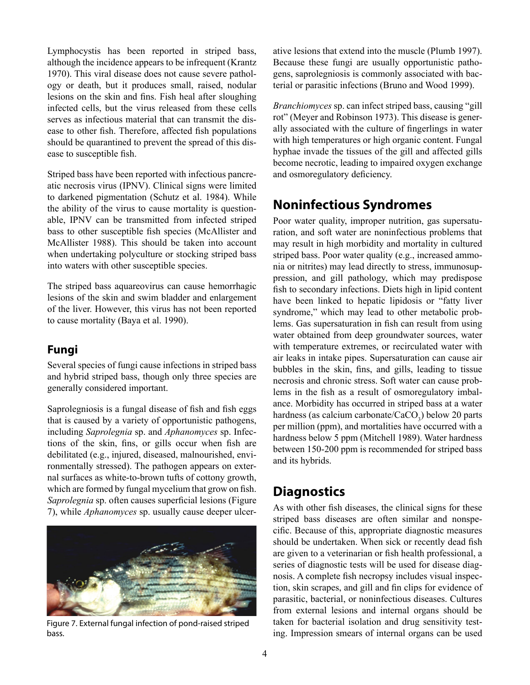Lymphocystis has been reported in striped bass, although the incidence appears to be infrequent (Krantz 1970). This viral disease does not cause severe pathology or death, but it produces small, raised, nodular lesions on the skin and fins. Fish heal after sloughing infected cells, but the virus released from these cells serves as infectious material that can transmit the disease to other fish. Therefore, affected fish populations should be quarantined to prevent the spread of this disease to susceptible fish.

Striped bass have been reported with infectious pancreatic necrosis virus (IPNV). Clinical signs were limited to darkened pigmentation (Schutz et al. 1984). While the ability of the virus to cause mortality is questionable, IPNV can be transmitted from infected striped bass to other susceptible fish species (McAllister and McAllister 1988). This should be taken into account when undertaking polyculture or stocking striped bass into waters with other susceptible species.

The striped bass aquareovirus can cause hemorrhagic lesions of the skin and swim bladder and enlargement of the liver. However, this virus has not been reported to cause mortality (Baya et al. 1990).

#### **Fungi**

Several species of fungi cause infections in striped bass and hybrid striped bass, though only three species are generally considered important.

Saprolegniosis is a fungal disease of fish and fish eggs that is caused by a variety of opportunistic pathogens, including *Saprolegnia* sp. and *Aphanomyces* sp. Infections of the skin, fins, or gills occur when fish are debilitated (e.g., injured, diseased, malnourished, environmentally stressed). The pathogen appears on external surfaces as white-to-brown tufts of cottony growth, which are formed by fungal mycelium that grow on fish. *Saprolegnia* sp. often causes superficial lesions (Figure 7), while *Aphanomyces* sp. usually cause deeper ulcer-



Figure 7. External fungal infection of pond-raised striped bass.

ative lesions that extend into the muscle (Plumb 1997). Because these fungi are usually opportunistic pathogens, saprolegniosis is commonly associated with bacterial or parasitic infections (Bruno and Wood 1999).

*Branchiomyces* sp. can infect striped bass, causing "gill rot" (Meyer and Robinson 1973). This disease is generally associated with the culture of fingerlings in water with high temperatures or high organic content. Fungal hyphae invade the tissues of the gill and affected gills become necrotic, leading to impaired oxygen exchange and osmoregulatory deficiency.

## **Noninfectious Syndromes**

Poor water quality, improper nutrition, gas supersaturation, and soft water are noninfectious problems that may result in high morbidity and mortality in cultured striped bass. Poor water quality (e.g., increased ammonia or nitrites) may lead directly to stress, immunosuppression, and gill pathology, which may predispose fish to secondary infections. Diets high in lipid content have been linked to hepatic lipidosis or "fatty liver syndrome," which may lead to other metabolic problems. Gas supersaturation in fish can result from using water obtained from deep groundwater sources, water with temperature extremes, or recirculated water with air leaks in intake pipes. Supersaturation can cause air bubbles in the skin, fins, and gills, leading to tissue necrosis and chronic stress. Soft water can cause problems in the fish as a result of osmoregulatory imbalance. Morbidity has occurred in striped bass at a water hardness (as calcium carbonate/ $CaCO<sub>3</sub>$ ) below 20 parts per million (ppm), and mortalities have occurred with a hardness below 5 ppm (Mitchell 1989). Water hardness between 150-200 ppm is recommended for striped bass and its hybrids.

## **Diagnostics**

As with other fish diseases, the clinical signs for these striped bass diseases are often similar and nonspecific. Because of this, appropriate diagnostic measures should be undertaken. When sick or recently dead fish are given to a veterinarian or fish health professional, a series of diagnostic tests will be used for disease diagnosis. A complete fish necropsy includes visual inspection, skin scrapes, and gill and fin clips for evidence of parasitic, bacterial, or noninfectious diseases. Cultures from external lesions and internal organs should be taken for bacterial isolation and drug sensitivity testing. Impression smears of internal organs can be used